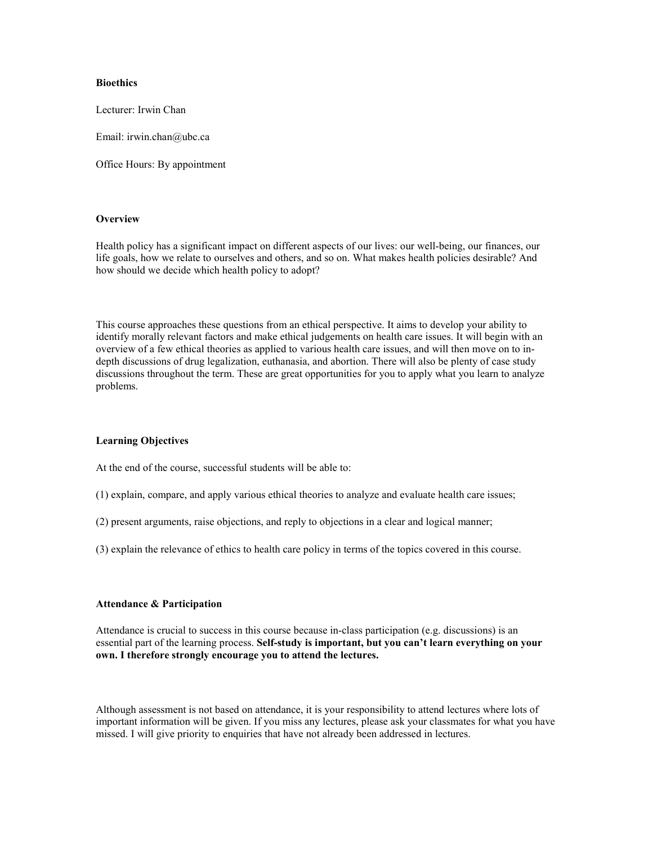## **Bioethics**

Lecturer: Irwin Chan

Email: irwin.chan@ubc.ca

Office Hours: By appointment

### **Overview**

Health policy has a significant impact on different aspects of our lives: our well-being, our finances, our life goals, how we relate to ourselves and others, and so on. What makes health policies desirable? And how should we decide which health policy to adopt?

This course approaches these questions from an ethical perspective. It aims to develop your ability to identify morally relevant factors and make ethical judgements on health care issues. It will begin with an overview of a few ethical theories as applied to various health care issues, and will then move on to indepth discussions of drug legalization, euthanasia, and abortion. There will also be plenty of case study discussions throughout the term. These are great opportunities for you to apply what you learn to analyze problems.

### **Learning Objectives**

At the end of the course, successful students will be able to:

- (1) explain, compare, and apply various ethical theories to analyze and evaluate health care issues;
- (2) present arguments, raise objections, and reply to objections in a clear and logical manner;
- (3) explain the relevance of ethics to health care policy in terms of the topics covered in this course.

#### **Attendance & Participation**

Attendance is crucial to success in this course because in-class participation (e.g. discussions) is an essential part of the learning process. **Self-study is important, but you can't learn everything on your own. I therefore strongly encourage you to attend the lectures.**

Although assessment is not based on attendance, it is your responsibility to attend lectures where lots of important information will be given. If you miss any lectures, please ask your classmates for what you have missed. I will give priority to enquiries that have not already been addressed in lectures.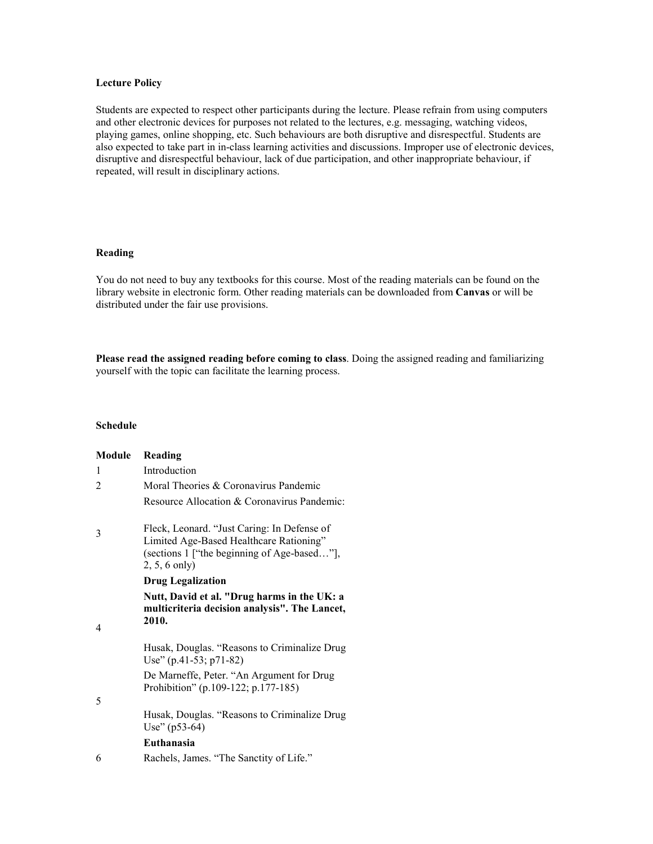## **Lecture Policy**

Students are expected to respect other participants during the lecture. Please refrain from using computers and other electronic devices for purposes not related to the lectures, e.g. messaging, watching videos, playing games, online shopping, etc. Such behaviours are both disruptive and disrespectful. Students are also expected to take part in in-class learning activities and discussions. Improper use of electronic devices, disruptive and disrespectful behaviour, lack of due participation, and other inappropriate behaviour, if repeated, will result in disciplinary actions.

# **Reading**

You do not need to buy any textbooks for this course. Most of the reading materials can be found on the library website in electronic form. Other reading materials can be downloaded from **Canvas** or will be distributed under the fair use provisions.

**Please read the assigned reading before coming to class**. Doing the assigned reading and familiarizing yourself with the topic can facilitate the learning process.

# **Schedule**

| Module | Reading                                                                                                                                                  |
|--------|----------------------------------------------------------------------------------------------------------------------------------------------------------|
| 1      | Introduction                                                                                                                                             |
| 2      | Moral Theories & Coronavirus Pandemic                                                                                                                    |
|        | Resource Allocation & Coronavirus Pandemic:                                                                                                              |
| 3      | Fleck, Leonard. "Just Caring: In Defense of<br>Limited Age-Based Healthcare Rationing"<br>(sections 1 ["the beginning of Age-based"],<br>$2, 5, 6$ only) |
|        | <b>Drug Legalization</b>                                                                                                                                 |
| 4      | Nutt, David et al. "Drug harms in the UK: a<br>multicriteria decision analysis". The Lancet,<br>2010.                                                    |
|        | Husak, Douglas. "Reasons to Criminalize Drug<br>Use" $(p.41-53; p71-82)$                                                                                 |
|        | De Marneffe, Peter. "An Argument for Drug<br>Prohibition" (p.109-122; p.177-185)                                                                         |
| 5      |                                                                                                                                                          |
|        | Husak, Douglas. "Reasons to Criminalize Drug<br>Use" (p53-64)                                                                                            |
|        | Euthanasia                                                                                                                                               |
| 6      | Rachels, James. "The Sanctity of Life."                                                                                                                  |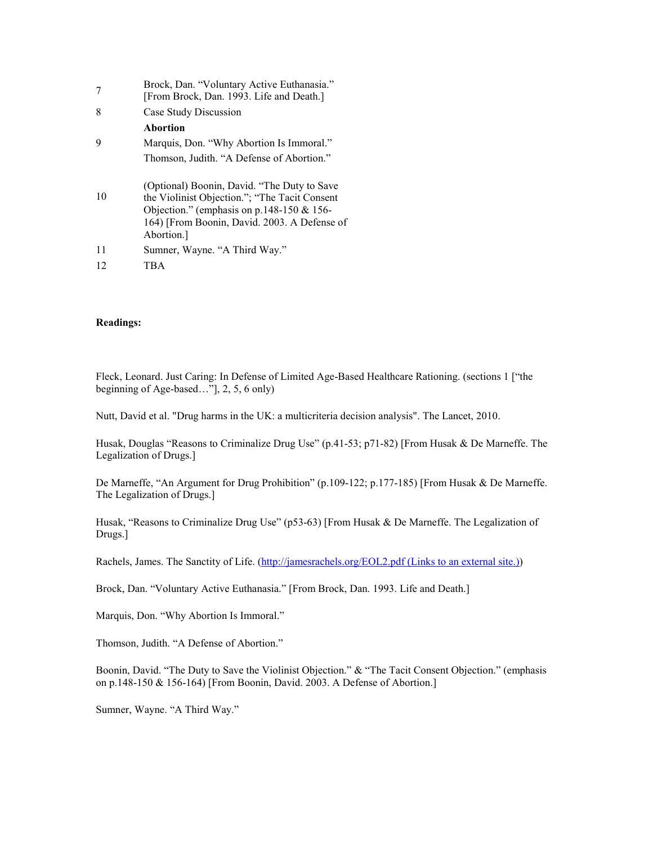| 7  | Brock, Dan. "Voluntary Active Euthanasia."<br>[From Brock, Dan. 1993. Life and Death.]                                                                                                                      |
|----|-------------------------------------------------------------------------------------------------------------------------------------------------------------------------------------------------------------|
| 8  | Case Study Discussion                                                                                                                                                                                       |
|    | <b>Abortion</b>                                                                                                                                                                                             |
| 9  | Marquis, Don. "Why Abortion Is Immoral."                                                                                                                                                                    |
|    | Thomson, Judith. "A Defense of Abortion."                                                                                                                                                                   |
| 10 | (Optional) Boonin, David. "The Duty to Save<br>the Violinist Objection."; "The Tacit Consent<br>Objection." (emphasis on $p.148-150 \& 156$ -<br>164) [From Boonin, David. 2003. A Defense of<br>Abortion.] |
| 11 | Sumner, Wayne. "A Third Way."                                                                                                                                                                               |
| 12 | TBA                                                                                                                                                                                                         |

## **Readings:**

Fleck, Leonard. Just Caring: In Defense of Limited Age-Based Healthcare Rationing. (sections 1 ["the beginning of Age-based…"], 2, 5, 6 only)

Nutt, David et al. "Drug harms in the UK: a multicriteria decision analysis". The Lancet, 2010.

Husak, Douglas "Reasons to Criminalize Drug Use" (p.41-53; p71-82) [From Husak & De Marneffe. The Legalization of Drugs.]

De Marneffe, "An Argument for Drug Prohibition" (p.109-122; p.177-185) [From Husak & De Marneffe. The Legalization of Drugs.]

Husak, "Reasons to Criminalize Drug Use" (p53-63) [From Husak & De Marneffe. The Legalization of Drugs.]

Rachels, James. The Sanctity of Life. [\(http://jamesrachels.org/EOL2.pdf](http://jamesrachels.org/EOL2.pdf) (Links to an external site.))

Brock, Dan. "Voluntary Active Euthanasia." [From Brock, Dan. 1993. Life and Death.]

Marquis, Don. "Why Abortion Is Immoral."

Thomson, Judith. "A Defense of Abortion."

Boonin, David. "The Duty to Save the Violinist Objection." & "The Tacit Consent Objection." (emphasis on p.148-150 & 156-164) [From Boonin, David. 2003. A Defense of Abortion.]

Sumner, Wayne. "A Third Way."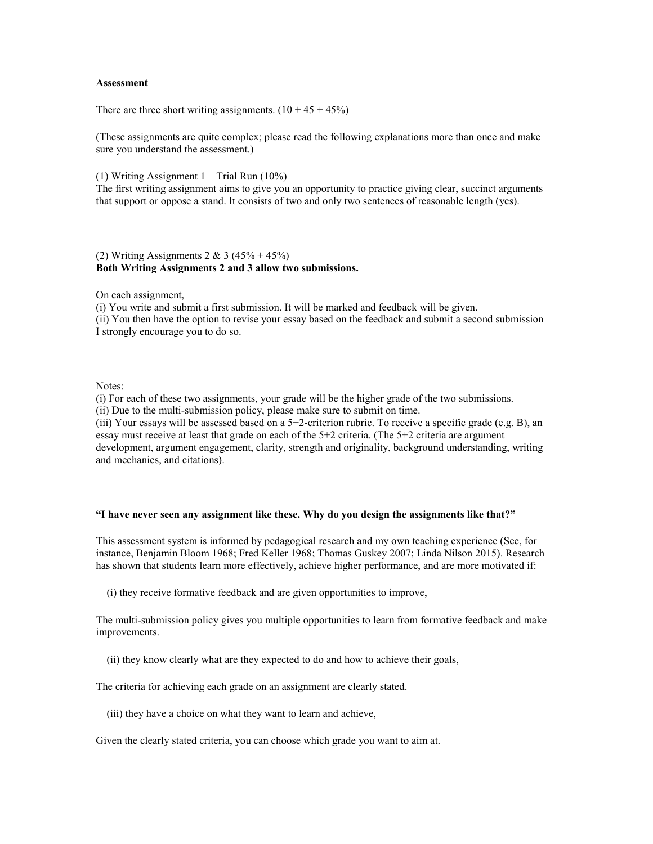### **Assessment**

There are three short writing assignments.  $(10 + 45 + 45%)$ 

(These assignments are quite complex; please read the following explanations more than once and make sure you understand the assessment.)

(1) Writing Assignment 1—Trial Run (10%)

The first writing assignment aims to give you an opportunity to practice giving clear, succinct arguments that support or oppose a stand. It consists of two and only two sentences of reasonable length (yes).

### (2) Writing Assignments  $2 & 3 (45% + 45%)$ **Both Writing Assignments 2 and 3 allow two submissions.**

On each assignment,

(i) You write and submit a first submission. It will be marked and feedback will be given. (ii) You then have the option to revise your essay based on the feedback and submit a second submission— I strongly encourage you to do so.

### Notes:

(i) For each of these two assignments, your grade will be the higher grade of the two submissions. (ii) Due to the multi-submission policy, please make sure to submit on time.

(iii) Your essays will be assessed based on a 5+2-criterion rubric. To receive a specific grade (e.g. B), an essay must receive at least that grade on each of the 5+2 criteria. (The 5+2 criteria are argument development, argument engagement, clarity, strength and originality, background understanding, writing and mechanics, and citations).

### **"I have never seen any assignment like these. Why do you design the assignments like that?"**

This assessment system is informed by pedagogical research and my own teaching experience (See, for instance, Benjamin Bloom 1968; Fred Keller 1968; Thomas Guskey 2007; Linda Nilson 2015). Research has shown that students learn more effectively, achieve higher performance, and are more motivated if:

(i) they receive formative feedback and are given opportunities to improve,

The multi-submission policy gives you multiple opportunities to learn from formative feedback and make improvements.

(ii) they know clearly what are they expected to do and how to achieve their goals,

The criteria for achieving each grade on an assignment are clearly stated.

(iii) they have a choice on what they want to learn and achieve,

Given the clearly stated criteria, you can choose which grade you want to aim at.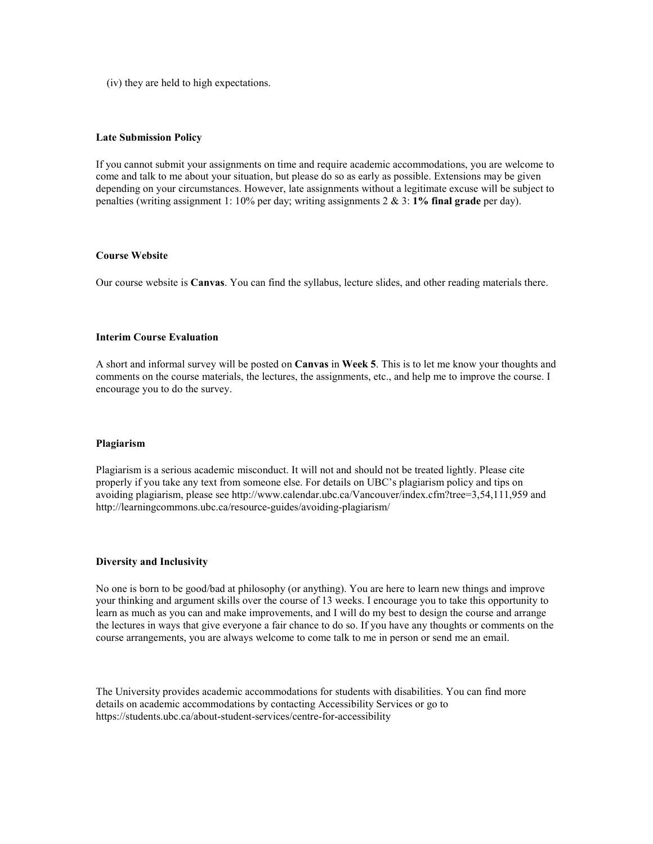(iv) they are held to high expectations.

### **Late Submission Policy**

If you cannot submit your assignments on time and require academic accommodations, you are welcome to come and talk to me about your situation, but please do so as early as possible. Extensions may be given depending on your circumstances. However, late assignments without a legitimate excuse will be subject to penalties (writing assignment 1: 10% per day; writing assignments 2 & 3: **1% final grade** per day).

### **Course Website**

Our course website is **Canvas**. You can find the syllabus, lecture slides, and other reading materials there.

### **Interim Course Evaluation**

A short and informal survey will be posted on **Canvas** in **Week 5**. This is to let me know your thoughts and comments on the course materials, the lectures, the assignments, etc., and help me to improve the course. I encourage you to do the survey.

#### **Plagiarism**

Plagiarism is a serious academic misconduct. It will not and should not be treated lightly. Please cite properly if you take any text from someone else. For details on UBC's plagiarism policy and tips on avoiding plagiarism, please see http://www.calendar.ubc.ca/Vancouver/index.cfm?tree=3,54,111,959 and http://learningcommons.ubc.ca/resource-guides/avoiding-plagiarism/

### **Diversity and Inclusivity**

No one is born to be good/bad at philosophy (or anything). You are here to learn new things and improve your thinking and argument skills over the course of 13 weeks. I encourage you to take this opportunity to learn as much as you can and make improvements, and I will do my best to design the course and arrange the lectures in ways that give everyone a fair chance to do so. If you have any thoughts or comments on the course arrangements, you are always welcome to come talk to me in person or send me an email.

The University provides academic accommodations for students with disabilities. You can find more details on academic accommodations by contacting Accessibility Services or go to https://students.ubc.ca/about-student-services/centre-for-accessibility